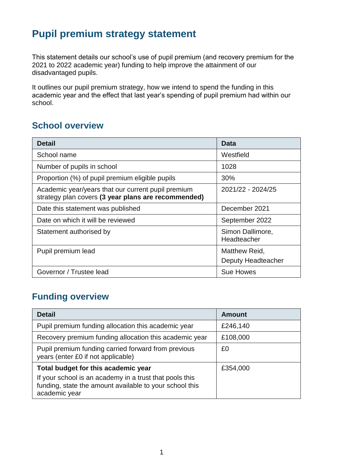# **Pupil premium strategy statement**

This statement details our school's use of pupil premium (and recovery premium for the 2021 to 2022 academic year) funding to help improve the attainment of our disadvantaged pupils.

It outlines our pupil premium strategy, how we intend to spend the funding in this academic year and the effect that last year's spending of pupil premium had within our school.

## **School overview**

| <b>Detail</b>                                                                                             | <b>Data</b>                     |
|-----------------------------------------------------------------------------------------------------------|---------------------------------|
| School name                                                                                               | Westfield                       |
| Number of pupils in school                                                                                | 1028                            |
| Proportion (%) of pupil premium eligible pupils                                                           | 30%                             |
| Academic year/years that our current pupil premium<br>strategy plan covers (3 year plans are recommended) | 2021/22 - 2024/25               |
| Date this statement was published                                                                         | December 2021                   |
| Date on which it will be reviewed                                                                         | September 2022                  |
| Statement authorised by                                                                                   | Simon Dallimore,<br>Headteacher |
| Pupil premium lead                                                                                        | Matthew Reid,                   |
|                                                                                                           | Deputy Headteacher              |
| Governor / Trustee lead                                                                                   | <b>Sue Howes</b>                |

## **Funding overview**

| <b>Detail</b>                                                                                                                                                              | <b>Amount</b> |
|----------------------------------------------------------------------------------------------------------------------------------------------------------------------------|---------------|
| Pupil premium funding allocation this academic year                                                                                                                        | £246,140      |
| Recovery premium funding allocation this academic year                                                                                                                     | £108,000      |
| Pupil premium funding carried forward from previous<br>years (enter £0 if not applicable)                                                                                  | £0            |
| Total budget for this academic year<br>If your school is an academy in a trust that pools this<br>funding, state the amount available to your school this<br>academic year | £354,000      |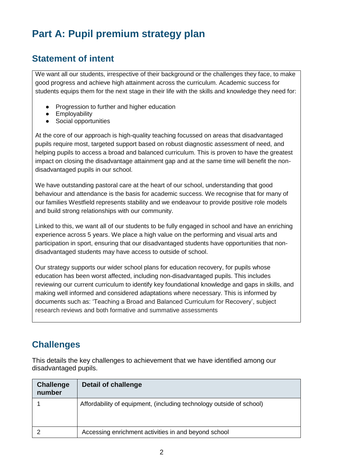# **Part A: Pupil premium strategy plan**

## **Statement of intent**

We want all our students, irrespective of their background or the challenges they face, to make good progress and achieve high attainment across the curriculum. Academic success for students equips them for the next stage in their life with the skills and knowledge they need for:

- Progression to further and higher education
- **Employability**
- Social opportunities

At the core of our approach is high-quality teaching focussed on areas that disadvantaged pupils require most, targeted support based on robust diagnostic assessment of need, and helping pupils to access a broad and balanced curriculum. This is proven to have the greatest impact on closing the disadvantage attainment gap and at the same time will benefit the nondisadvantaged pupils in our school.

We have outstanding pastoral care at the heart of our school, understanding that good behaviour and attendance is the basis for academic success. We recognise that for many of our families Westfield represents stability and we endeavour to provide positive role models and build strong relationships with our community.

Linked to this, we want all of our students to be fully engaged in school and have an enriching experience across 5 years. We place a high value on the performing and visual arts and participation in sport, ensuring that our disadvantaged students have opportunities that nondisadvantaged students may have access to outside of school.

Our strategy supports our wider school plans for education recovery, for pupils whose education has been worst affected, including non-disadvantaged pupils. This includes reviewing our current curriculum to identify key foundational knowledge and gaps in skills, and making well informed and considered adaptations where necessary. This is informed by documents such as: 'Teaching a Broad and Balanced Curriculum for Recovery', subject research reviews and both formative and summative assessments

## **Challenges**

This details the key challenges to achievement that we have identified among our disadvantaged pupils.

| <b>Challenge</b><br>number | Detail of challenge                                                  |
|----------------------------|----------------------------------------------------------------------|
|                            | Affordability of equipment, (including technology outside of school) |
|                            | Accessing enrichment activities in and beyond school                 |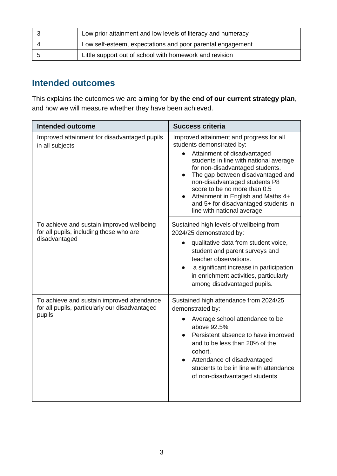| Low prior attainment and low levels of literacy and numeracy |
|--------------------------------------------------------------|
| Low self-esteem, expectations and poor parental engagement   |
| Little support out of school with homework and revision      |

## **Intended outcomes**

This explains the outcomes we are aiming for **by the end of our current strategy plan**, and how we will measure whether they have been achieved.

| <b>Intended outcome</b>                                                                                 | <b>Success criteria</b>                                                                                                                                                                                                                                                                                                                                                                                          |
|---------------------------------------------------------------------------------------------------------|------------------------------------------------------------------------------------------------------------------------------------------------------------------------------------------------------------------------------------------------------------------------------------------------------------------------------------------------------------------------------------------------------------------|
| Improved attainment for disadvantaged pupils<br>in all subjects                                         | Improved attainment and progress for all<br>students demonstrated by:<br>Attainment of disadvantaged<br>students in line with national average<br>for non-disadvantaged students.<br>The gap between disadvantaged and<br>$\bullet$<br>non-disadvantaged students P8<br>score to be no more than 0.5<br>Attainment in English and Maths 4+<br>and 5+ for disadvantaged students in<br>line with national average |
| To achieve and sustain improved wellbeing<br>for all pupils, including those who are<br>disadvantaged   | Sustained high levels of wellbeing from<br>2024/25 demonstrated by:<br>qualitative data from student voice,<br>student and parent surveys and<br>teacher observations.<br>a significant increase in participation<br>$\bullet$<br>in enrichment activities, particularly<br>among disadvantaged pupils.                                                                                                          |
| To achieve and sustain improved attendance<br>for all pupils, particularly our disadvantaged<br>pupils. | Sustained high attendance from 2024/25<br>demonstrated by:<br>Average school attendance to be<br>above 92.5%<br>Persistent absence to have improved<br>and to be less than 20% of the<br>cohort.<br>Attendance of disadvantaged<br>students to be in line with attendance<br>of non-disadvantaged students                                                                                                       |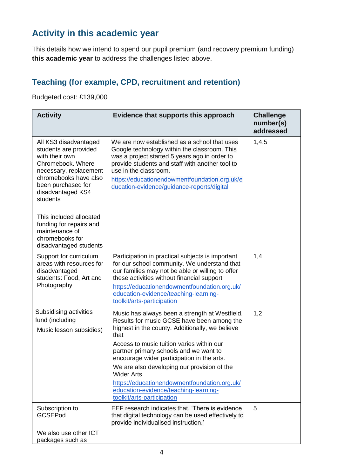## **Activity in this academic year**

This details how we intend to spend our pupil premium (and recovery premium funding) **this academic year** to address the challenges listed above.

#### **Teaching (for example, CPD, recruitment and retention)**

Budgeted cost: £139,000

| <b>Activity</b>                                                                                                                                                                                 | Evidence that supports this approach                                                                                                                                                                                                                                                                                                                                                                                                                                                    | <b>Challenge</b><br>number(s)<br>addressed |
|-------------------------------------------------------------------------------------------------------------------------------------------------------------------------------------------------|-----------------------------------------------------------------------------------------------------------------------------------------------------------------------------------------------------------------------------------------------------------------------------------------------------------------------------------------------------------------------------------------------------------------------------------------------------------------------------------------|--------------------------------------------|
| All KS3 disadvantaged<br>students are provided<br>with their own<br>Chromebook. Where<br>necessary, replacement<br>chromebooks have also<br>been purchased for<br>disadvantaged KS4<br>students | We are now established as a school that uses<br>Google technology within the classroom. This<br>was a project started 5 years ago in order to<br>provide students and staff with another tool to<br>use in the classroom.<br>https://educationendowmentfoundation.org.uk/e<br>ducation-evidence/guidance-reports/digital                                                                                                                                                                | 1,4,5                                      |
| This included allocated<br>funding for repairs and<br>maintenance of<br>chromebooks for<br>disadvantaged students                                                                               |                                                                                                                                                                                                                                                                                                                                                                                                                                                                                         |                                            |
| Support for curriculum<br>areas with resources for<br>disadvantaged<br>students: Food, Art and<br>Photography                                                                                   | Participation in practical subjects is important<br>for our school community. We understand that<br>our families may not be able or willing to offer<br>these activities without financial support<br>https://educationendowmentfoundation.org.uk/<br>education-evidence/teaching-learning-<br>toolkit/arts-participation                                                                                                                                                               | 1,4                                        |
| Subsidising activities<br>fund (including<br>Music lesson subsidies)                                                                                                                            | Music has always been a strength at Westfield.<br>Results for music GCSE have been among the<br>highest in the county. Additionally, we believe<br>that<br>Access to music tuition varies within our<br>partner primary schools and we want to<br>encourage wider participation in the arts.<br>We are also developing our provision of the<br><b>Wider Arts</b><br>https://educationendowmentfoundation.org.uk/<br>education-evidence/teaching-learning-<br>toolkit/arts-participation | 1,2                                        |
| Subscription to<br><b>GCSEPod</b><br>We also use other ICT<br>packages such as                                                                                                                  | EEF research indicates that, 'There is evidence<br>that digital technology can be used effectively to<br>provide individualised instruction.'                                                                                                                                                                                                                                                                                                                                           | 5                                          |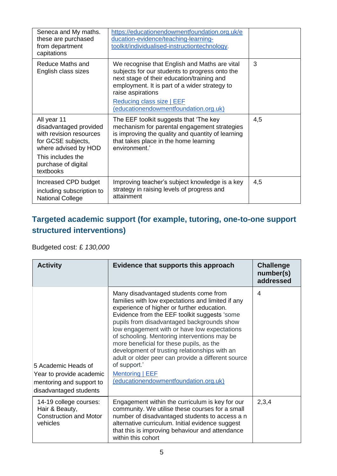| Seneca and My maths.<br>these are purchased<br>from department<br>capitations                                  | https://educationendowmentfoundation.org.uk/e<br>ducation-evidence/teaching-learning-<br>toolkit/individualised-instructiontechnology.                                                                              |     |
|----------------------------------------------------------------------------------------------------------------|---------------------------------------------------------------------------------------------------------------------------------------------------------------------------------------------------------------------|-----|
| <b>Reduce Maths and</b><br>English class sizes                                                                 | We recognise that English and Maths are vital<br>subjects for our students to progress onto the<br>next stage of their education/training and<br>employment. It is part of a wider strategy to<br>raise aspirations | 3   |
|                                                                                                                | Reducing class size   EEF<br>(educationendowmentfoundation.org.uk)                                                                                                                                                  |     |
| All year 11<br>disadvantaged provided<br>with revision resources<br>for GCSE subjects,<br>where advised by HOD | The EEF toolkit suggests that 'The key<br>mechanism for parental engagement strategies<br>is improving the quality and quantity of learning<br>that takes place in the home learning<br>environment.'               | 4,5 |
| This includes the<br>purchase of digital<br>textbooks                                                          |                                                                                                                                                                                                                     |     |
| Increased CPD budget<br>including subscription to<br><b>National College</b>                                   | Improving teacher's subject knowledge is a key<br>strategy in raising levels of progress and<br>attainment                                                                                                          | 4,5 |

## **Targeted academic support (for example, tutoring, one-to-one support structured interventions)**

#### Budgeted cost: £ *130,000*

| <b>Activity</b>                                                                                       | Evidence that supports this approach                                                                                                                                                                                                                                                                                                                                                                                                                                                                                                                                         | <b>Challenge</b><br>number(s)<br>addressed |
|-------------------------------------------------------------------------------------------------------|------------------------------------------------------------------------------------------------------------------------------------------------------------------------------------------------------------------------------------------------------------------------------------------------------------------------------------------------------------------------------------------------------------------------------------------------------------------------------------------------------------------------------------------------------------------------------|--------------------------------------------|
| 5 Academic Heads of<br>Year to provide academic<br>mentoring and support to<br>disadvantaged students | Many disadvantaged students come from<br>families with low expectations and limited if any<br>experience of higher or further education.<br>Evidence from the EEF toolkit suggests 'some<br>pupils from disadvantaged backgrounds show<br>low engagement with or have low expectations<br>of schooling. Mentoring interventions may be<br>more beneficial for these pupils, as the<br>development of trusting relationships with an<br>adult or older peer can provide a different source<br>of support.'<br><b>Mentoring   EEF</b><br>(educationendowmentfoundation.org.uk) | 4                                          |
| 14-19 college courses:<br>Hair & Beauty,<br><b>Construction and Motor</b><br>vehicles                 | Engagement within the curriculum is key for our<br>community. We utilise these courses for a small<br>number of disadvantaged students to access a n<br>alternative curriculum. Initial evidence suggest<br>that this is improving behaviour and attendance<br>within this cohort                                                                                                                                                                                                                                                                                            | 2,3,4                                      |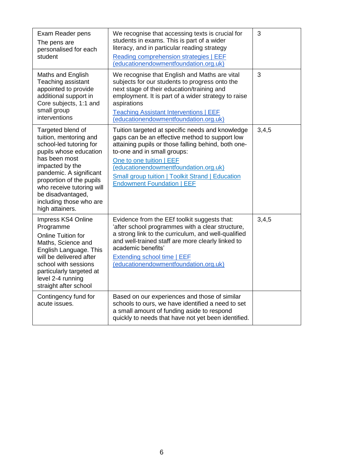| Exam Reader pens<br>The pens are<br>personalised for each<br>student                                                                                                                                                                                                                        | We recognise that accessing texts is crucial for<br>students in exams. This is part of a wider<br>literacy, and in particular reading strategy<br>Reading comprehension strategies   EEF<br>(educationendowmentfoundation.org.uk)                                                                                                                      | 3     |
|---------------------------------------------------------------------------------------------------------------------------------------------------------------------------------------------------------------------------------------------------------------------------------------------|--------------------------------------------------------------------------------------------------------------------------------------------------------------------------------------------------------------------------------------------------------------------------------------------------------------------------------------------------------|-------|
| Maths and English<br>Teaching assistant<br>appointed to provide<br>additional support in<br>Core subjects, 1:1 and<br>small group<br>interventions                                                                                                                                          | We recognise that English and Maths are vital<br>subjects for our students to progress onto the<br>next stage of their education/training and<br>employment. It is part of a wider strategy to raise<br>aspirations<br><b>Teaching Assistant Interventions   EEF</b><br>(educationendowmentfoundation.org.uk)                                          | 3     |
| Targeted blend of<br>tuition, mentoring and<br>school-led tutoring for<br>pupils whose education<br>has been most<br>impacted by the<br>pandemic. A significant<br>proportion of the pupils<br>who receive tutoring will<br>be disadvantaged,<br>including those who are<br>high attainers. | Tuition targeted at specific needs and knowledge<br>gaps can be an effective method to support low<br>attaining pupils or those falling behind, both one-<br>to-one and in small groups:<br>One to one tuition   EEF<br>(educationendowmentfoundation.org.uk)<br>Small group tuition   Toolkit Strand   Education<br><b>Endowment Foundation   EEF</b> | 3,4,5 |
| Impress KS4 Online<br>Programme<br><b>Online Tuition for</b><br>Maths, Science and<br>English Language. This<br>will be delivered after<br>school with sessions<br>particularly targeted at<br>level 2-4 running<br>straight after school                                                   | Evidence from the EEf toolkit suggests that:<br>'after school programmes with a clear structure,<br>a strong link to the curriculum, and well-qualified<br>and well-trained staff are more clearly linked to<br>academic benefits'<br>Extending school time   EEF<br>(educationendowmentfoundation.org.uk)                                             | 3,4,5 |
| Contingency fund for<br>acute issues.                                                                                                                                                                                                                                                       | Based on our experiences and those of similar<br>schools to ours, we have identified a need to set<br>a small amount of funding aside to respond<br>quickly to needs that have not yet been identified.                                                                                                                                                |       |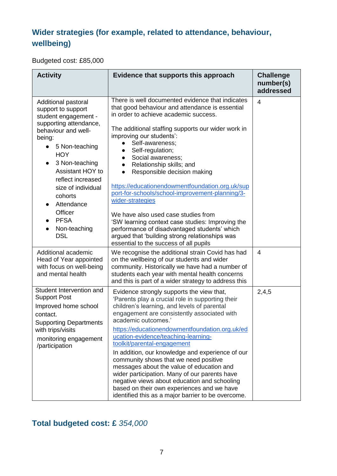## **Wider strategies (for example, related to attendance, behaviour, wellbeing)**

Budgeted cost: £85,000

| <b>Activity</b>                                                                                                                                                                                                                                                                                                                                    | Evidence that supports this approach                                                                                                                                                                                                                                                                                                                                                                                                                                                                                                                                                                                                                                                                                                             | <b>Challenge</b><br>number(s)<br>addressed |
|----------------------------------------------------------------------------------------------------------------------------------------------------------------------------------------------------------------------------------------------------------------------------------------------------------------------------------------------------|--------------------------------------------------------------------------------------------------------------------------------------------------------------------------------------------------------------------------------------------------------------------------------------------------------------------------------------------------------------------------------------------------------------------------------------------------------------------------------------------------------------------------------------------------------------------------------------------------------------------------------------------------------------------------------------------------------------------------------------------------|--------------------------------------------|
| Additional pastoral<br>support to support<br>student engagement -<br>supporting attendance,<br>behaviour and well-<br>being:<br>5 Non-teaching<br>$\bullet$<br><b>HOY</b><br>3 Non-teaching<br><b>Assistant HOY to</b><br>reflect increased<br>size of individual<br>cohorts<br>Attendance<br>Officer<br><b>PFSA</b><br>Non-teaching<br><b>DSL</b> | There is well documented evidence that indicates<br>that good behaviour and attendance is essential<br>in order to achieve academic success.<br>The additional staffing supports our wider work in<br>improving our students':<br>Self-awareness;<br>Self-regulation;<br>Social awareness;<br>$\bullet$<br>Relationship skills; and<br>Responsible decision making<br>$\bullet$<br>https://educationendowmentfoundation.org.uk/sup<br>port-for-schools/school-improvement-planning/3-<br>wider-strategies<br>We have also used case studies from<br>'SW learning context case studies: Improving the<br>performance of disadvantaged students' which<br>argued that 'building strong relationships was<br>essential to the success of all pupils | 4                                          |
| Additional academic<br>Head of Year appointed<br>with focus on well-being<br>and mental health                                                                                                                                                                                                                                                     | We recognise the additional strain Covid has had<br>on the wellbeing of our students and wider<br>community. Historically we have had a number of<br>students each year with mental health concerns<br>and this is part of a wider strategy to address this                                                                                                                                                                                                                                                                                                                                                                                                                                                                                      | 4                                          |
| Student Intervention and<br><b>Support Post</b><br>Improved home school<br>contact.<br>Supporting Departments<br>with trips/visits<br>monitoring engagement<br>/participation                                                                                                                                                                      | Evidence strongly supports the view that,<br>'Parents play a crucial role in supporting their<br>children's learning, and levels of parental<br>engagement are consistently associated with<br>academic outcomes.'<br>https://educationendowmentfoundation.org.uk/ed<br>ucation-evidence/teaching-learning-<br>toolkit/parental-engagement<br>In addition, our knowledge and experience of our<br>community shows that we need positive<br>messages about the value of education and<br>wider participation. Many of our parents have<br>negative views about education and schooling<br>based on their own experiences and we have<br>identified this as a major barrier to be overcome.                                                        | 2,4,5                                      |

## **Total budgeted cost: £** *354,000*